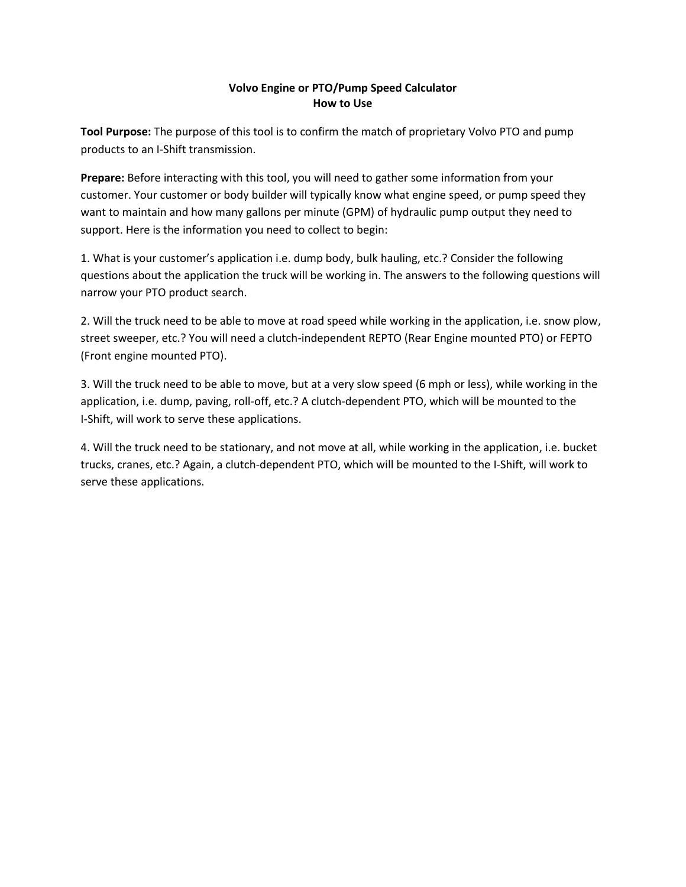## **Volvo Engine or PTO/Pump Speed Calculator How to Use**

**Tool Purpose:** The purpose of this tool is to confirm the match of proprietary Volvo PTO and pump products to an I-Shift transmission.

**Prepare:** Before interacting with this tool, you will need to gather some information from your customer. Your customer or body builder will typically know what engine speed, or pump speed they want to maintain and how many gallons per minute (GPM) of hydraulic pump output they need to support. Here is the information you need to collect to begin:

1. What is your customer's application i.e. dump body, bulk hauling, etc.? Consider the following questions about the application the truck will be working in. The answers to the following questions will narrow your PTO product search.

2. Will the truck need to be able to move at road speed while working in the application, i.e. snow plow, street sweeper, etc.? You will need a clutch-independent REPTO (Rear Engine mounted PTO) or FEPTO (Front engine mounted PTO).

3. Will the truck need to be able to move, but at a very slow speed (6 mph or less), while working in the application, i.e. dump, paving, roll-off, etc.? A clutch-dependent PTO, which will be mounted to the I-Shift, will work to serve these applications.

4. Will the truck need to be stationary, and not move at all, while working in the application, i.e. bucket trucks, cranes, etc.? Again, a clutch-dependent PTO, which will be mounted to the I-Shift, will work to serve these applications.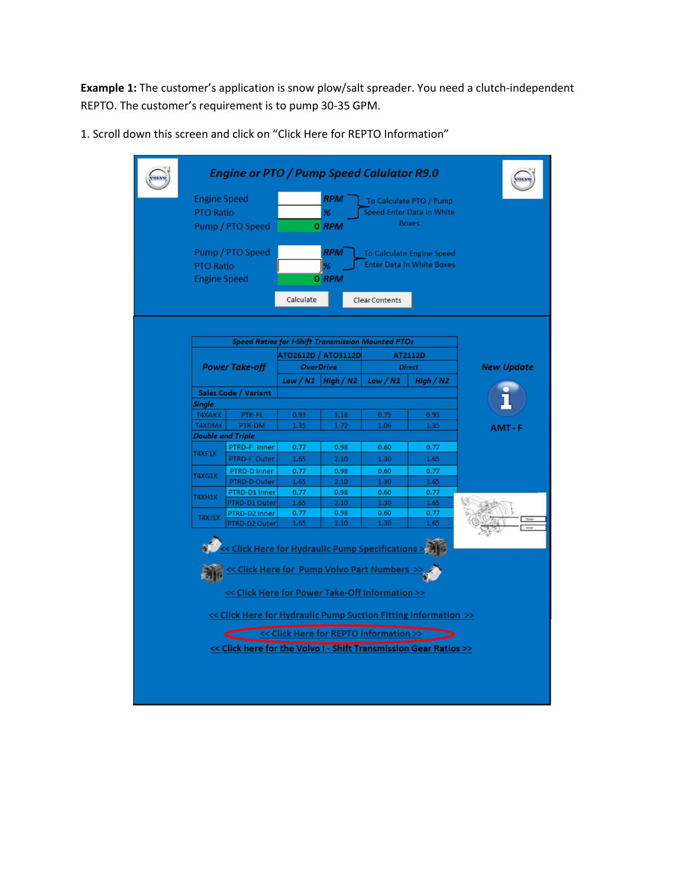**Example 1:** The customer's application is snow plow/salt spreader. You need a clutch-independent REPTO. The customer's requirement is to pump 30-35 GPM.

1. Scroll down this screen and click on "Click Here for REPTO Information"

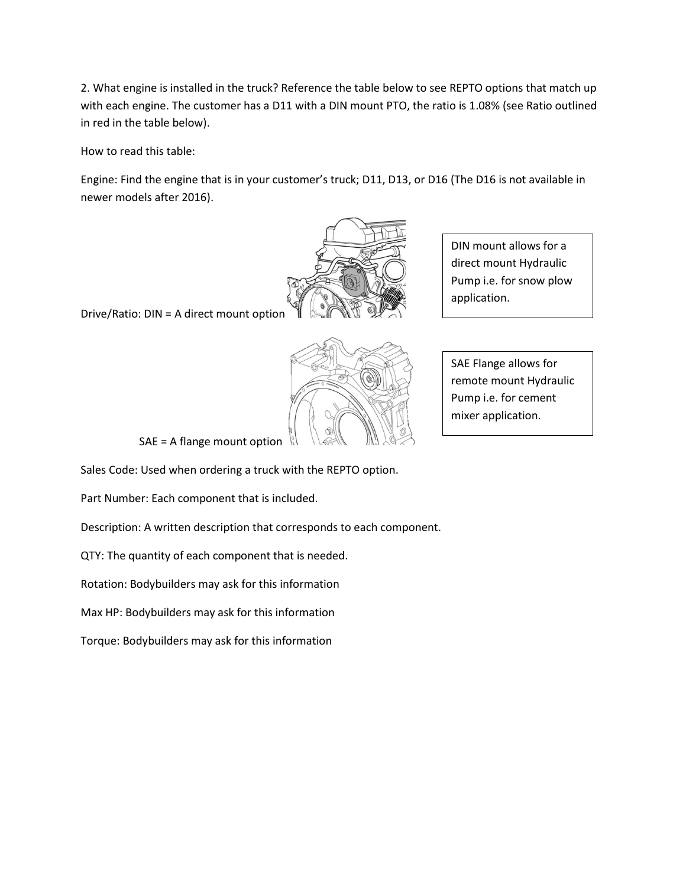2. What engine is installed in the truck? Reference the table below to see REPTO options that match up with each engine. The customer has a D11 with a DIN mount PTO, the ratio is 1.08% (see Ratio outlined in red in the table below).

How to read this table:

Engine: Find the engine that is in your customer's truck; D11, D13, or D16 (The D16 is not available in newer models after 2016).



Drive/Ratio: DIN = A direct mount option



DIN mount allows for a direct mount Hydraulic Pump i.e. for snow plow application.

SAE Flange allows for remote mount Hydraulic Pump i.e. for cement mixer application.

SAE = A flange mount option

Sales Code: Used when ordering a truck with the REPTO option.

Part Number: Each component that is included.

Description: A written description that corresponds to each component.

QTY: The quantity of each component that is needed.

Rotation: Bodybuilders may ask for this information

Max HP: Bodybuilders may ask for this information

Torque: Bodybuilders may ask for this information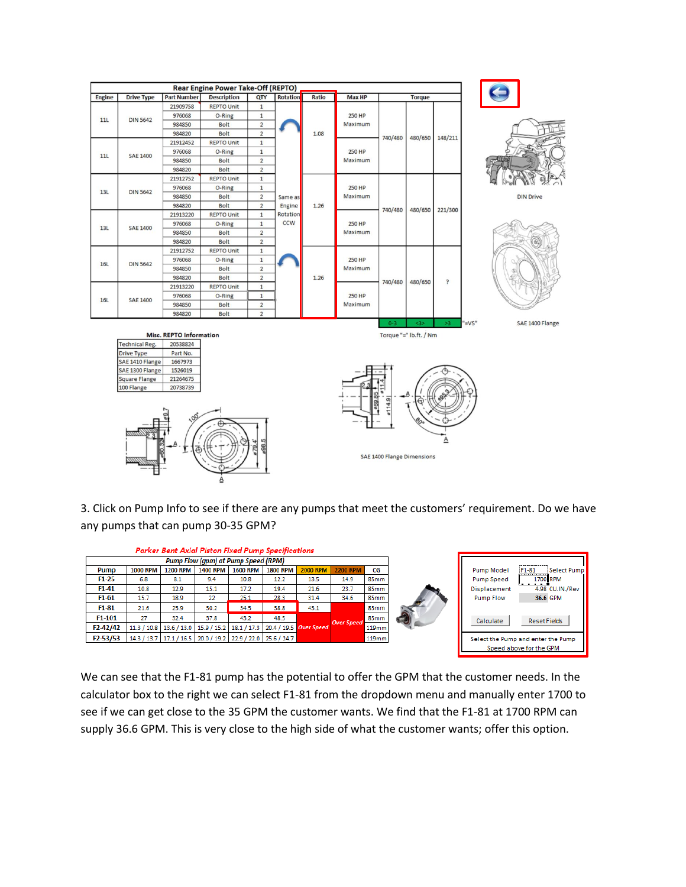

3. Click on Pump Info to see if there are any pumps that meet the customers' requirement. Do we have any pumps that can pump 30-35 GPM?

| <b>Parker Bent Axial Piston Fixed Pump Specifications</b> |                 |                                                                     |                 |                 |                 |                                                                                                     |                 |       |  |
|-----------------------------------------------------------|-----------------|---------------------------------------------------------------------|-----------------|-----------------|-----------------|-----------------------------------------------------------------------------------------------------|-----------------|-------|--|
| Pump Flow (gpm) at Pump Speed (RPM)                       |                 |                                                                     |                 |                 |                 |                                                                                                     |                 |       |  |
| Pump                                                      | <b>1000 RPM</b> | <b>1200 RPM</b>                                                     | <b>1400 RPM</b> | <b>1600 RPM</b> | <b>1800 RPM</b> | <b>2000 RPM</b>                                                                                     | <b>2200 RPM</b> | CG    |  |
| $F1-25$                                                   | 6.8             | 8.1                                                                 | 9.4             | 10.8            | 12.2            | 13.5                                                                                                | 14.9            | 85mm  |  |
| $F1-41$                                                   | 10.8            | 12.9                                                                | 15.1            | 17.2            | 19.4            | 21.6                                                                                                | 23.7            | 85mm  |  |
| F <sub>1</sub> -61                                        | 15.7            | 18.9                                                                | 22              | 25.1            | 28.3            | 31.4                                                                                                | 34.6            | 85mm  |  |
| $F1-81$                                                   | 21.6            | 25.9                                                                | 30.2            | 34.5            | 38.8            | 43.1                                                                                                |                 | 85mm  |  |
| F1-101                                                    | 27              | 32.4                                                                | 37.8            | 43.2            | 48.5            |                                                                                                     |                 | 85mm  |  |
| $F2 - 42/42$                                              |                 |                                                                     |                 |                 |                 | <b>Over Speed</b><br>11.3 / 10.8   13.6 / 13.0   15.9 / 15.2   18.1 / 17.3   20.4 / 19.5 Over Speed |                 | 119mm |  |
| $F2 - 53/53$                                              |                 | 14.3 / 13.7   17.1 / 16.5   20.0 / 19.2   22.9 / 22.0   25.6 / 24.7 |                 |                 |                 |                                                                                                     |                 |       |  |
|                                                           |                 |                                                                     |                 |                 |                 |                                                                                                     |                 |       |  |

We can see that the F1-81 pump has the potential to offer the GPM that the customer needs. In the calculator box to the right we can select F1-81 from the dropdown menu and manually enter 1700 to see if we can get close to the 35 GPM the customer wants. We find that the F1-81 at 1700 RPM can supply 36.6 GPM. This is very close to the high side of what the customer wants; offer this option.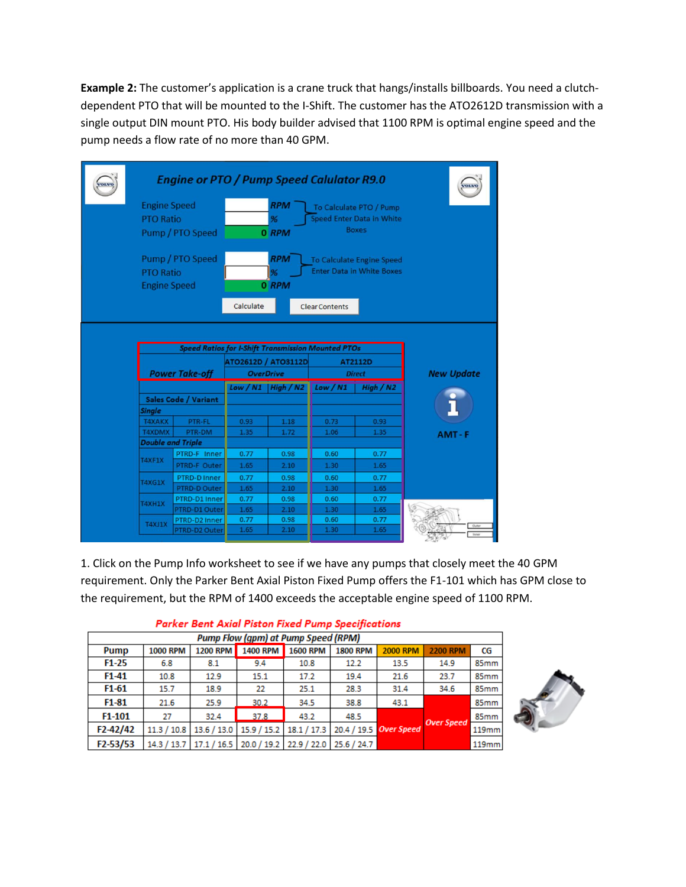**Example 2:** The customer's application is a crane truck that hangs/installs billboards. You need a clutchdependent PTO that will be mounted to the I-Shift. The customer has the ATO2612D transmission with a single output DIN mount PTO. His body builder advised that 1100 RPM is optimal engine speed and the pump needs a flow rate of no more than 40 GPM.

|                                                                                                    | <b>Engine Speed</b><br><b>PTO Ratio</b> | <b>Engine or PTO / Pump Speed Calulator R9.0</b><br>Pump / PTO Speed |              | <b>RPM</b><br>%<br>0 RPM             |                       |                                                                      |                   |  |  |  |
|----------------------------------------------------------------------------------------------------|-----------------------------------------|----------------------------------------------------------------------|--------------|--------------------------------------|-----------------------|----------------------------------------------------------------------|-------------------|--|--|--|
|                                                                                                    | <b>PTO Ratio</b><br><b>Engine Speed</b> | Pump / PTO Speed                                                     | Calculate    | <b>RPM</b><br>$\frac{9}{6}$<br>0 RPM | <b>Clear Contents</b> | <b>To Calculate Engine Speed</b><br><b>Enter Data in White Boxes</b> |                   |  |  |  |
| <b>Speed Ratios for I-Shift Transmission Mounted PTOs</b><br><b>ATO2612D / ATO3112D</b><br>AT2112D |                                         |                                                                      |              |                                      |                       |                                                                      |                   |  |  |  |
|                                                                                                    |                                         |                                                                      |              |                                      |                       |                                                                      |                   |  |  |  |
|                                                                                                    |                                         | <b>Power Take-off</b>                                                |              | <b>OverDrive</b>                     |                       | <b>Direct</b>                                                        | <b>New Update</b> |  |  |  |
|                                                                                                    |                                         |                                                                      | Low / N1     | High/N2                              | Low / N1              | High / N2                                                            |                   |  |  |  |
|                                                                                                    |                                         | <b>Sales Code / Variant</b>                                          |              |                                      |                       |                                                                      |                   |  |  |  |
|                                                                                                    | <b>Single</b>                           |                                                                      |              |                                      |                       |                                                                      |                   |  |  |  |
|                                                                                                    | <b>T4XAKX</b>                           | PTR-FL                                                               | 0.93         | 1.18                                 | 0.73                  | 0.93                                                                 |                   |  |  |  |
|                                                                                                    | <b>T4XDMX</b>                           | PTR-DM                                                               | 1.35         | 1.72                                 | 1.06                  | 1.35                                                                 | $AMT - F$         |  |  |  |
|                                                                                                    | <b>Double and Triple</b>                |                                                                      |              |                                      |                       |                                                                      |                   |  |  |  |
|                                                                                                    | T4XF1X                                  | PTRD-F Inner                                                         | 0.77         | 0.98                                 | 0.60                  | 0.77                                                                 |                   |  |  |  |
|                                                                                                    |                                         | PTRD-F Outer                                                         | 1.65         | 2.10                                 | 1.30                  | 1.65                                                                 |                   |  |  |  |
|                                                                                                    | <b>T4XG1X</b>                           | <b>PTRD-D Inner</b>                                                  | 0.77         | 0.98                                 | 0.60                  | 0.77                                                                 |                   |  |  |  |
|                                                                                                    |                                         | <b>PTRD-D Outer</b>                                                  | 1.65         | 2.10                                 | 1.30                  | 1.65                                                                 |                   |  |  |  |
|                                                                                                    | T4XH1X                                  | PTRD-D1 Inner                                                        | 0.77         | 0.98                                 | 0.60                  | 0.77                                                                 |                   |  |  |  |
|                                                                                                    |                                         | PTRD-D1 Outer                                                        | 1.65         | 2.10                                 | 1.30                  | 1.65                                                                 |                   |  |  |  |
|                                                                                                    | <b>T4XJ1X</b>                           | PTRD-D2 Inner<br>PTRD-D2 Outer                                       | 0.77<br>1.65 | 0.98<br>2.10                         | 0.60<br>1.30          | 0.77<br>1.65                                                         | Oute              |  |  |  |

1. Click on the Pump Info worksheet to see if we have any pumps that closely meet the 40 GPM requirement. Only the Parker Bent Axial Piston Fixed Pump offers the F1-101 which has GPM close to the requirement, but the RPM of 1400 exceeds the acceptable engine speed of 1100 RPM.

| , winds went , which i letters in the wind which expective with the |                 |                 |                                                                     |                 |                        |                 |                   |       |  |  |  |
|---------------------------------------------------------------------|-----------------|-----------------|---------------------------------------------------------------------|-----------------|------------------------|-----------------|-------------------|-------|--|--|--|
| <b>Pump Flow (gpm) at Pump Speed (RPM)</b>                          |                 |                 |                                                                     |                 |                        |                 |                   |       |  |  |  |
| Pump                                                                | <b>1000 RPM</b> | <b>1200 RPM</b> | <b>1400 RPM</b>                                                     | <b>1600 RPM</b> | <b>1800 RPM</b>        | <b>2000 RPM</b> | <b>2200 RPM</b>   | CG    |  |  |  |
| $F1-25$                                                             | 6.8             | 8.1             | 9.4                                                                 | 10.8            | 12.2                   | 13.5            | 14.9              | 85mm  |  |  |  |
| $F1-41$                                                             | 10.8            | 12.9            | 15.1                                                                | 17.2            | 19.4                   | 21.6            | 23.7              | 85mm  |  |  |  |
| $F1-61$                                                             | 15.7            | 18.9            | 22                                                                  | 25.1            | 28.3                   | 31.4            | 34.6              | 85mm  |  |  |  |
| $F1-81$                                                             | 21.6            | 25.9            | 30.2                                                                | 34.5            | 38.8                   | 43.1            |                   | 85mm  |  |  |  |
| F1-101                                                              | 27              | 32.4            | 37.8                                                                | 43.2            | 48.5                   |                 | <b>Over Speed</b> | 85mm  |  |  |  |
| $F2 - 42/42$                                                        | 11.3 / 10.8     |                 | 13.6 / 13.0   15.9 / 15.2   18.1 / 17.3                             |                 | 20.4 / 19.5 Over Speed |                 |                   | 119mm |  |  |  |
| F <sub>2</sub> -53/53                                               |                 |                 | 14.3 / 13.7   17.1 / 16.5   20.0 / 19.2   22.9 / 22.0   25.6 / 24.7 |                 |                        |                 |                   | 119mm |  |  |  |

## **Parker Bent Axial Piston Fixed Pump Specifications**